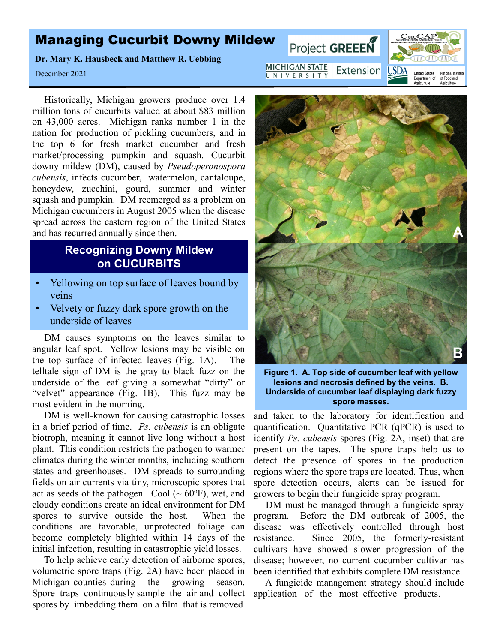## Managing Cucurbit Downy Mildew

**Dr. Mary K. Hausbeck and Matthew R. Uebbing**

December 2021

Historically, Michigan growers produce over 1.4 million tons of cucurbits valued at about \$83 million on 43,000 acres. Michigan ranks number 1 in the nation for production of pickling cucumbers, and in the top 6 for fresh market cucumber and fresh market/processing pumpkin and squash. Cucurbit downy mildew (DM), caused by *Pseudoperonospora cubensis*, infects cucumber, watermelon, cantaloupe, honeydew, zucchini, gourd, summer and winter squash and pumpkin. DM reemerged as a problem on Michigan cucumbers in August 2005 when the disease spread across the eastern region of the United States and has recurred annually since then.

## **Recognizing Downy Mildew on CUCURBITS**

- Yellowing on top surface of leaves bound by veins
- Velvety or fuzzy dark spore growth on the underside of leaves

DM causes symptoms on the leaves similar to angular leaf spot. Yellow lesions may be visible on the top surface of infected leaves (Fig. 1A). The telltale sign of DM is the gray to black fuzz on the underside of the leaf giving a somewhat "dirty" or "velvet" appearance (Fig. 1B). This fuzz may be most evident in the morning.

DM is well-known for causing catastrophic losses in a brief period of time. *Ps. cubensis* is an obligate biotroph, meaning it cannot live long without a host plant. This condition restricts the pathogen to warmer climates during the winter months, including southern states and greenhouses. DM spreads to surrounding fields on air currents via tiny, microscopic spores that act as seeds of the pathogen. Cool  $({\sim 60°F})$ , wet, and cloudy conditions create an ideal environment for DM spores to survive outside the host. When the conditions are favorable, unprotected foliage can become completely blighted within 14 days of the initial infection, resulting in catastrophic yield losses.

To help achieve early detection of airborne spores, volumetric spore traps (Fig. 2A) have been placed in Michigan counties during the growing season. Spore traps continuously sample the air and collect application of the most effective products.spores by imbedding them on a film that is removed



**Figure 1. A. Top side of cucumber leaf with yellow Underside of cucumber leaf displaying dark fuzzy spore masses.**

and taken to the laboratory for identification and quantification. Quantitative PCR (qPCR) is used to identify *Ps. cubensis* spores (Fig. 2A, inset) that are present on the tapes. The spore traps help us to detect the presence of spores in the production regions where the spore traps are located. Thus, when spore detection occurs, alerts can be issued for growers to begin their fungicide spray program.

DM must be managed through a fungicide spray program. Before the DM outbreak of 2005, the disease was effectively controlled through host resistance. Since 2005, the formerly-resistant cultivars have showed slower progression of the disease; however, no current cucumber cultivar has been identified that exhibits complete DM resistance.

A fungicide management strategy should include

**MICHIGAN STATE** Extension USDA UNIVERSITY

Project GREEEN



**A**